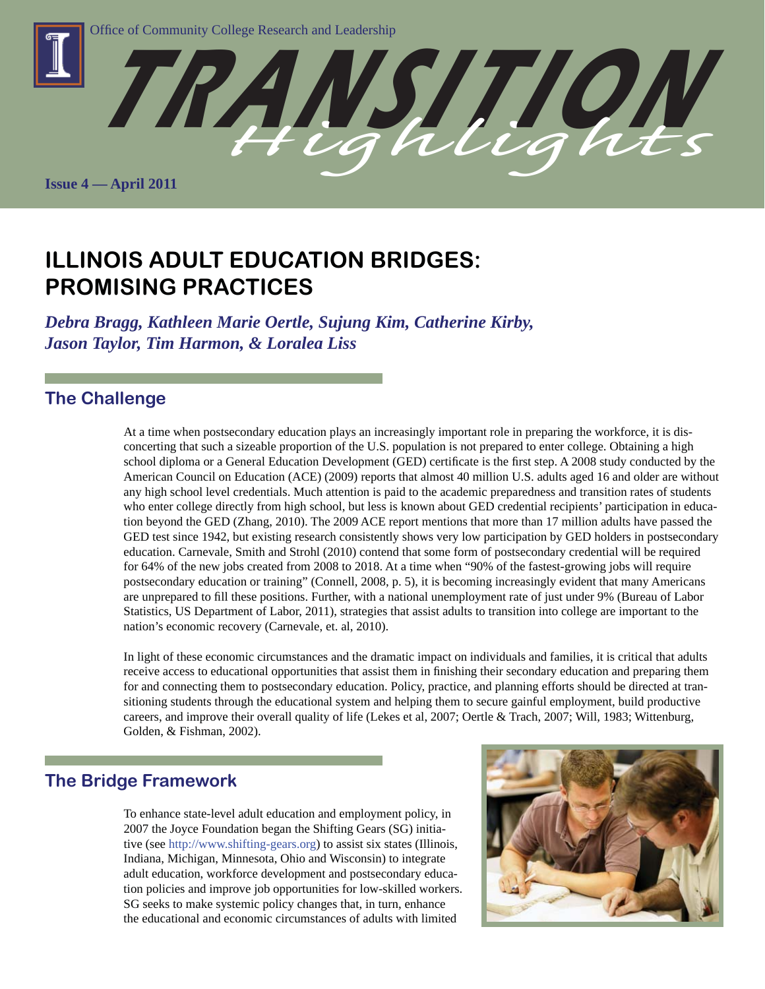

**ILLINOIS ADULT EDUCATION BRIDGES: PROMISING PRACTICES**

*Debra Bragg, Kathleen Marie Oertle, Sujung Kim, Catherine Kirby, Jason Taylor, Tim Harmon, & Loralea Liss*

## **The Challenge**

At a time when postsecondary education plays an increasingly important role in preparing the workforce, it is disconcerting that such a sizeable proportion of the U.S. population is not prepared to enter college. Obtaining a high school diploma or a General Education Development (GED) certificate is the first step. A 2008 study conducted by the American Council on Education (ACE) (2009) reports that almost 40 million U.S. adults aged 16 and older are without any high school level credentials. Much attention is paid to the academic preparedness and transition rates of students who enter college directly from high school, but less is known about GED credential recipients' participation in education beyond the GED (Zhang, 2010). The 2009 ACE report mentions that more than 17 million adults have passed the GED test since 1942, but existing research consistently shows very low participation by GED holders in postsecondary education. Carnevale, Smith and Strohl (2010) contend that some form of postsecondary credential will be required for 64% of the new jobs created from 2008 to 2018. At a time when "90% of the fastest-growing jobs will require postsecondary education or training" (Connell, 2008, p. 5), it is becoming increasingly evident that many Americans are unprepared to fill these positions. Further, with a national unemployment rate of just under 9% (Bureau of Labor Statistics, US Department of Labor, 2011), strategies that assist adults to transition into college are important to the nation's economic recovery (Carnevale, et. al, 2010).

In light of these economic circumstances and the dramatic impact on individuals and families, it is critical that adults receive access to educational opportunities that assist them in finishing their secondary education and preparing them for and connecting them to postsecondary education. Policy, practice, and planning efforts should be directed at transitioning students through the educational system and helping them to secure gainful employment, build productive careers, and improve their overall quality of life (Lekes et al, 2007; Oertle & Trach, 2007; Will, 1983; Wittenburg, Golden, & Fishman, 2002).

# **The Bridge Framework**

To enhance state-level adult education and employment policy, in 2007 the Joyce Foundation began the Shifting Gears (SG) initiative (see http://www.shifting-gears.org) to assist six states (Illinois, Indiana, Michigan, Minnesota, Ohio and Wisconsin) to integrate adult education, workforce development and postsecondary education policies and improve job opportunities for low-skilled workers. SG seeks to make systemic policy changes that, in turn, enhance the educational and economic circumstances of adults with limited

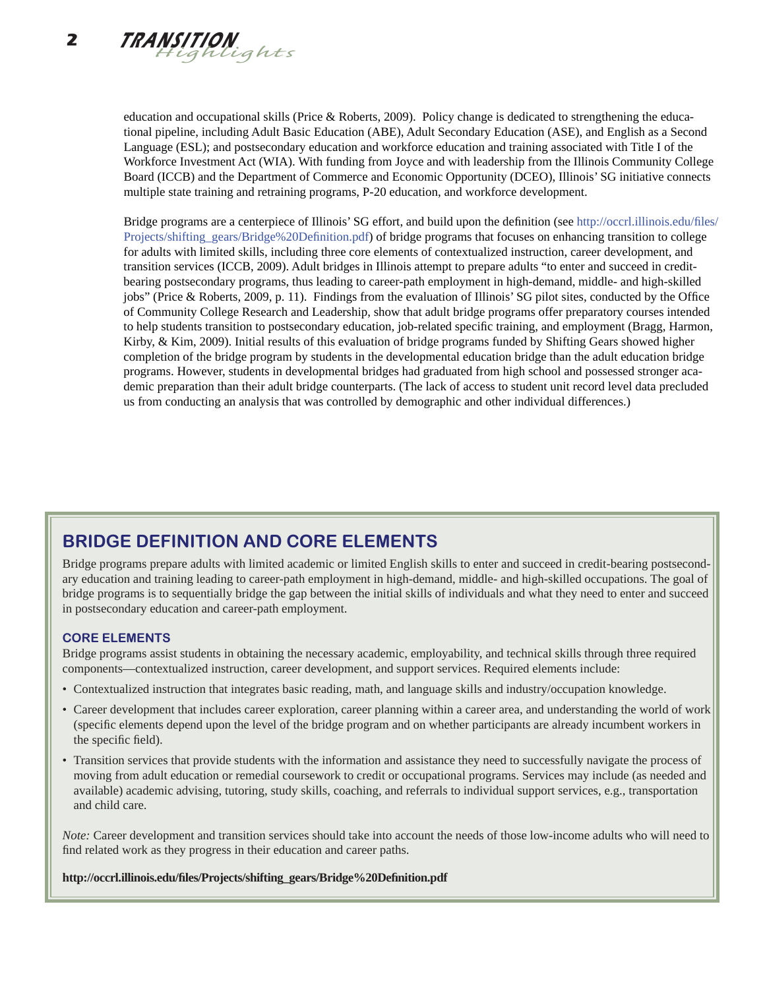education and occupational skills (Price & Roberts, 2009). Policy change is dedicated to strengthening the educational pipeline, including Adult Basic Education (ABE), Adult Secondary Education (ASE), and English as a Second Language (ESL); and postsecondary education and workforce education and training associated with Title I of the Workforce Investment Act (WIA). With funding from Joyce and with leadership from the Illinois Community College Board (ICCB) and the Department of Commerce and Economic Opportunity (DCEO), Illinois' SG initiative connects multiple state training and retraining programs, P-20 education, and workforce development.

Bridge programs are a centerpiece of Illinois' SG effort, and build upon the definition (see http://occrl.illinois.edu/files/ Projects/shifting\_gears/Bridge%20Definition.pdf) of bridge programs that focuses on enhancing transition to college for adults with limited skills, including three core elements of contextualized instruction, career development, and transition services (ICCB, 2009). Adult bridges in Illinois attempt to prepare adults "to enter and succeed in creditbearing postsecondary programs, thus leading to career-path employment in high-demand, middle- and high-skilled jobs" (Price & Roberts, 2009, p. 11). Findings from the evaluation of Illinois' SG pilot sites, conducted by the Office of Community College Research and Leadership, show that adult bridge programs offer preparatory courses intended to help students transition to postsecondary education, job-related specific training, and employment (Bragg, Harmon, Kirby, & Kim, 2009). Initial results of this evaluation of bridge programs funded by Shifting Gears showed higher completion of the bridge program by students in the developmental education bridge than the adult education bridge programs. However, students in developmental bridges had graduated from high school and possessed stronger academic preparation than their adult bridge counterparts. (The lack of access to student unit record level data precluded us from conducting an analysis that was controlled by demographic and other individual differences.)

# **BRIDGE DEFINITION AND CORE ELEMENTS**

Bridge programs prepare adults with limited academic or limited English skills to enter and succeed in credit-bearing postsecondary education and training leading to career-path employment in high-demand, middle- and high-skilled occupations. The goal of bridge programs is to sequentially bridge the gap between the initial skills of individuals and what they need to enter and succeed in postsecondary education and career-path employment.

### **CORE ELEMENTS**

Bridge programs assist students in obtaining the necessary academic, employability, and technical skills through three required components—contextualized instruction, career development, and support services. Required elements include:

- Contextualized instruction that integrates basic reading, math, and language skills and industry/occupation knowledge.
- Career development that includes career exploration, career planning within a career area, and understanding the world of work (specifi c elements depend upon the level of the bridge program and on whether participants are already incumbent workers in the specific field).
- Transition services that provide students with the information and assistance they need to successfully navigate the process of moving from adult education or remedial coursework to credit or occupational programs. Services may include (as needed and available) academic advising, tutoring, study skills, coaching, and referrals to individual support services, e.g., transportation and child care.

*Note:* Career development and transition services should take into account the needs of those low-income adults who will need to find related work as they progress in their education and career paths.

**http://occrl.illinois.edu/fi les/Projects/shifting\_gears/Bridge%20Defi nition.pdf**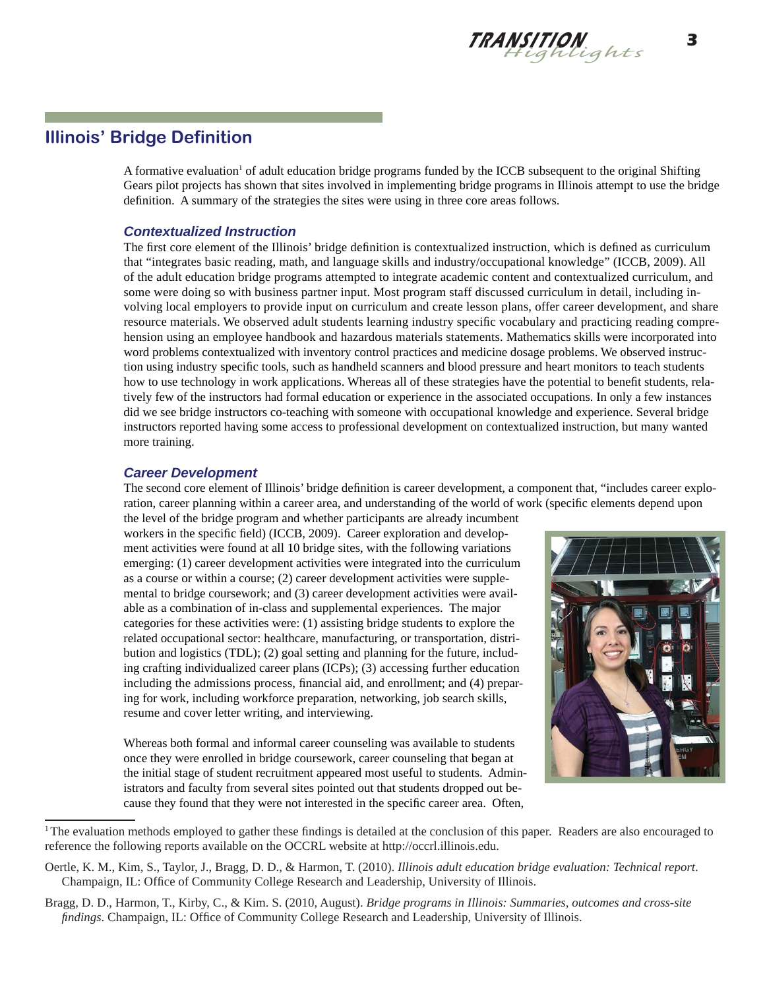

# **Illinois' Bridge Definition**

A formative evaluation<sup>1</sup> of adult education bridge programs funded by the ICCB subsequent to the original Shifting Gears pilot projects has shown that sites involved in implementing bridge programs in Illinois attempt to use the bridge definition. A summary of the strategies the sites were using in three core areas follows.

### *Contextualized Instruction*

The first core element of the Illinois' bridge definition is contextualized instruction, which is defined as curriculum that "integrates basic reading, math, and language skills and industry/occupational knowledge" (ICCB, 2009). All of the adult education bridge programs attempted to integrate academic content and contextualized curriculum, and some were doing so with business partner input. Most program staff discussed curriculum in detail, including involving local employers to provide input on curriculum and create lesson plans, offer career development, and share resource materials. We observed adult students learning industry specific vocabulary and practicing reading comprehension using an employee handbook and hazardous materials statements. Mathematics skills were incorporated into word problems contextualized with inventory control practices and medicine dosage problems. We observed instruction using industry specific tools, such as handheld scanners and blood pressure and heart monitors to teach students how to use technology in work applications. Whereas all of these strategies have the potential to benefit students, relatively few of the instructors had formal education or experience in the associated occupations. In only a few instances did we see bridge instructors co-teaching with someone with occupational knowledge and experience. Several bridge instructors reported having some access to professional development on contextualized instruction, but many wanted more training.

### *Career Development*

The second core element of Illinois' bridge definition is career development, a component that, "includes career exploration, career planning within a career area, and understanding of the world of work (specific elements depend upon

the level of the bridge program and whether participants are already incumbent workers in the specific field) (ICCB, 2009). Career exploration and development activities were found at all 10 bridge sites, with the following variations emerging: (1) career development activities were integrated into the curriculum as a course or within a course; (2) career development activities were supplemental to bridge coursework; and (3) career development activities were available as a combination of in-class and supplemental experiences. The major categories for these activities were: (1) assisting bridge students to explore the related occupational sector: healthcare, manufacturing, or transportation, distribution and logistics (TDL); (2) goal setting and planning for the future, including crafting individualized career plans (ICPs); (3) accessing further education including the admissions process, financial aid, and enrollment; and (4) preparing for work, including workforce preparation, networking, job search skills, resume and cover letter writing, and interviewing.



Whereas both formal and informal career counseling was available to students once they were enrolled in bridge coursework, career counseling that began at the initial stage of student recruitment appeared most useful to students. Administrators and faculty from several sites pointed out that students dropped out because they found that they were not interested in the specific career area. Often,

<sup>&</sup>lt;sup>1</sup>The evaluation methods employed to gather these findings is detailed at the conclusion of this paper. Readers are also encouraged to reference the following reports available on the OCCRL website at http://occrl.illinois.edu.

Oertle, K. M., Kim, S., Taylor, J., Bragg, D. D., & Harmon, T. (2010). *Illinois adult education bridge evaluation: Technical report*. Champaign, IL: Office of Community College Research and Leadership, University of Illinois.

Bragg, D. D., Harmon, T., Kirby, C., & Kim. S. (2010, August). *Bridge programs in Illinois: Summaries, outcomes and cross-site findings*. Champaign, IL: Office of Community College Research and Leadership, University of Illinois.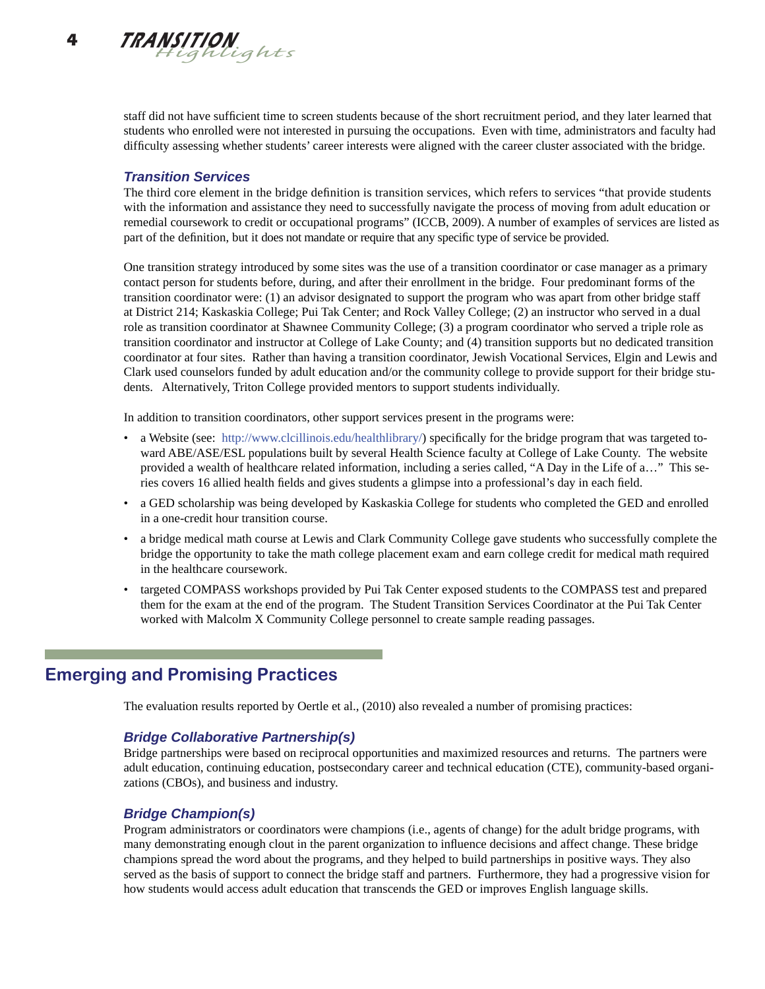staff did not have sufficient time to screen students because of the short recruitment period, and they later learned that students who enrolled were not interested in pursuing the occupations. Even with time, administrators and faculty had difficulty assessing whether students' career interests were aligned with the career cluster associated with the bridge.

### *Transition Services*

The third core element in the bridge definition is transition services, which refers to services "that provide students with the information and assistance they need to successfully navigate the process of moving from adult education or remedial coursework to credit or occupational programs" (ICCB, 2009). A number of examples of services are listed as part of the definition, but it does not mandate or require that any specific type of service be provided.

One transition strategy introduced by some sites was the use of a transition coordinator or case manager as a primary contact person for students before, during, and after their enrollment in the bridge. Four predominant forms of the transition coordinator were: (1) an advisor designated to support the program who was apart from other bridge staff at District 214; Kaskaskia College; Pui Tak Center; and Rock Valley College; (2) an instructor who served in a dual role as transition coordinator at Shawnee Community College; (3) a program coordinator who served a triple role as transition coordinator and instructor at College of Lake County; and (4) transition supports but no dedicated transition coordinator at four sites. Rather than having a transition coordinator, Jewish Vocational Services, Elgin and Lewis and Clark used counselors funded by adult education and/or the community college to provide support for their bridge students. Alternatively, Triton College provided mentors to support students individually.

In addition to transition coordinators, other support services present in the programs were:

- a Website (see: http://www.clcillinois.edu/healthlibrary/) specifically for the bridge program that was targeted toward ABE/ASE/ESL populations built by several Health Science faculty at College of Lake County. The website provided a wealth of healthcare related information, including a series called, "A Day in the Life of a…" This series covers 16 allied health fields and gives students a glimpse into a professional's day in each field.
- a GED scholarship was being developed by Kaskaskia College for students who completed the GED and enrolled in a one-credit hour transition course.
- a bridge medical math course at Lewis and Clark Community College gave students who successfully complete the bridge the opportunity to take the math college placement exam and earn college credit for medical math required in the healthcare coursework.
- targeted COMPASS workshops provided by Pui Tak Center exposed students to the COMPASS test and prepared them for the exam at the end of the program. The Student Transition Services Coordinator at the Pui Tak Center worked with Malcolm X Community College personnel to create sample reading passages.

# **Emerging and Promising Practices**

The evaluation results reported by Oertle et al., (2010) also revealed a number of promising practices:

### *Bridge Collaborative Partnership(s)*

Bridge partnerships were based on reciprocal opportunities and maximized resources and returns. The partners were adult education, continuing education, postsecondary career and technical education (CTE), community-based organizations (CBOs), and business and industry.

### *Bridge Champion(s)*

Program administrators or coordinators were champions (i.e., agents of change) for the adult bridge programs, with many demonstrating enough clout in the parent organization to influence decisions and affect change. These bridge champions spread the word about the programs, and they helped to build partnerships in positive ways. They also served as the basis of support to connect the bridge staff and partners. Furthermore, they had a progressive vision for how students would access adult education that transcends the GED or improves English language skills.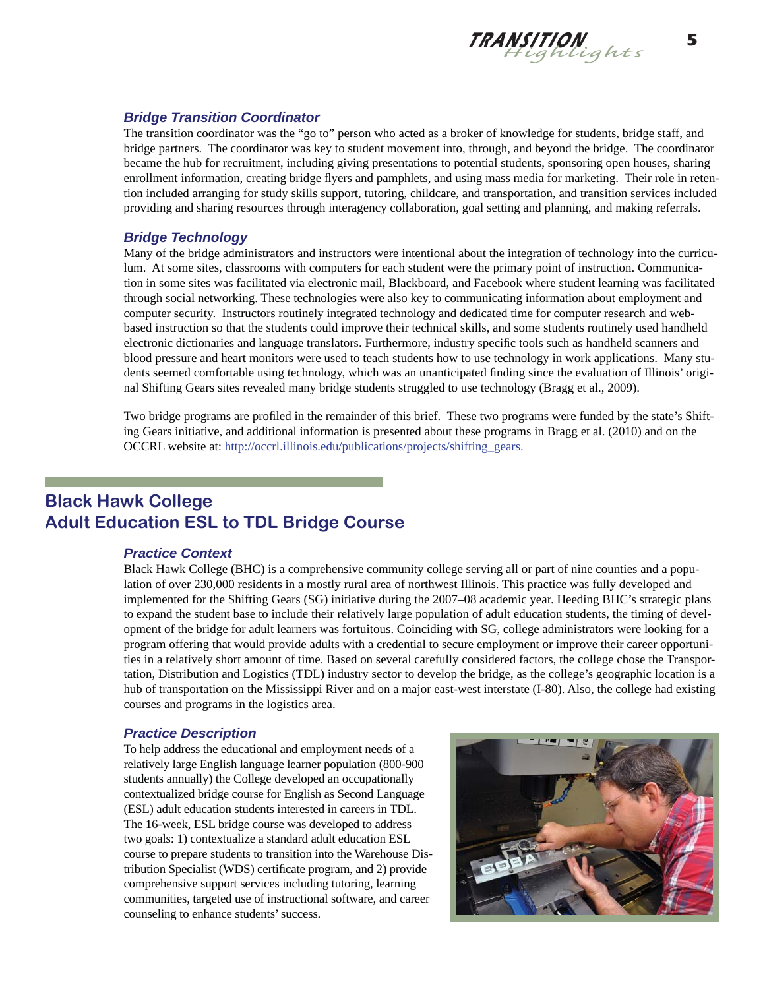

#### *Bridge Transition Coordinator*

The transition coordinator was the "go to" person who acted as a broker of knowledge for students, bridge staff, and bridge partners. The coordinator was key to student movement into, through, and beyond the bridge. The coordinator became the hub for recruitment, including giving presentations to potential students, sponsoring open houses, sharing enrollment information, creating bridge flyers and pamphlets, and using mass media for marketing. Their role in retention included arranging for study skills support, tutoring, childcare, and transportation, and transition services included providing and sharing resources through interagency collaboration, goal setting and planning, and making referrals.

#### *Bridge Technology*

Many of the bridge administrators and instructors were intentional about the integration of technology into the curriculum. At some sites, classrooms with computers for each student were the primary point of instruction. Communication in some sites was facilitated via electronic mail, Blackboard, and Facebook where student learning was facilitated through social networking. These technologies were also key to communicating information about employment and computer security. Instructors routinely integrated technology and dedicated time for computer research and webbased instruction so that the students could improve their technical skills, and some students routinely used handheld electronic dictionaries and language translators. Furthermore, industry specific tools such as handheld scanners and blood pressure and heart monitors were used to teach students how to use technology in work applications. Many students seemed comfortable using technology, which was an unanticipated finding since the evaluation of Illinois' original Shifting Gears sites revealed many bridge students struggled to use technology (Bragg et al., 2009).

Two bridge programs are profiled in the remainder of this brief. These two programs were funded by the state's Shifting Gears initiative, and additional information is presented about these programs in Bragg et al. (2010) and on the OCCRL website at: http://occrl.illinois.edu/publications/projects/shifting\_gears.

# **Black Hawk College Adult Education ESL to TDL Bridge Course**

#### *Practice Context*

Black Hawk College (BHC) is a comprehensive community college serving all or part of nine counties and a population of over 230,000 residents in a mostly rural area of northwest Illinois. This practice was fully developed and implemented for the Shifting Gears (SG) initiative during the 2007–08 academic year. Heeding BHC's strategic plans to expand the student base to include their relatively large population of adult education students, the timing of development of the bridge for adult learners was fortuitous. Coinciding with SG, college administrators were looking for a program offering that would provide adults with a credential to secure employment or improve their career opportunities in a relatively short amount of time. Based on several carefully considered factors, the college chose the Transportation, Distribution and Logistics (TDL) industry sector to develop the bridge, as the college's geographic location is a hub of transportation on the Mississippi River and on a major east-west interstate (I-80). Also, the college had existing courses and programs in the logistics area.

#### *Practice Description*

To help address the educational and employment needs of a relatively large English language learner population (800-900 students annually) the College developed an occupationally contextualized bridge course for English as Second Language (ESL) adult education students interested in careers in TDL. The 16-week, ESL bridge course was developed to address two goals: 1) contextualize a standard adult education ESL course to prepare students to transition into the Warehouse Distribution Specialist (WDS) certificate program, and 2) provide comprehensive support services including tutoring, learning communities, targeted use of instructional software, and career counseling to enhance students' success.

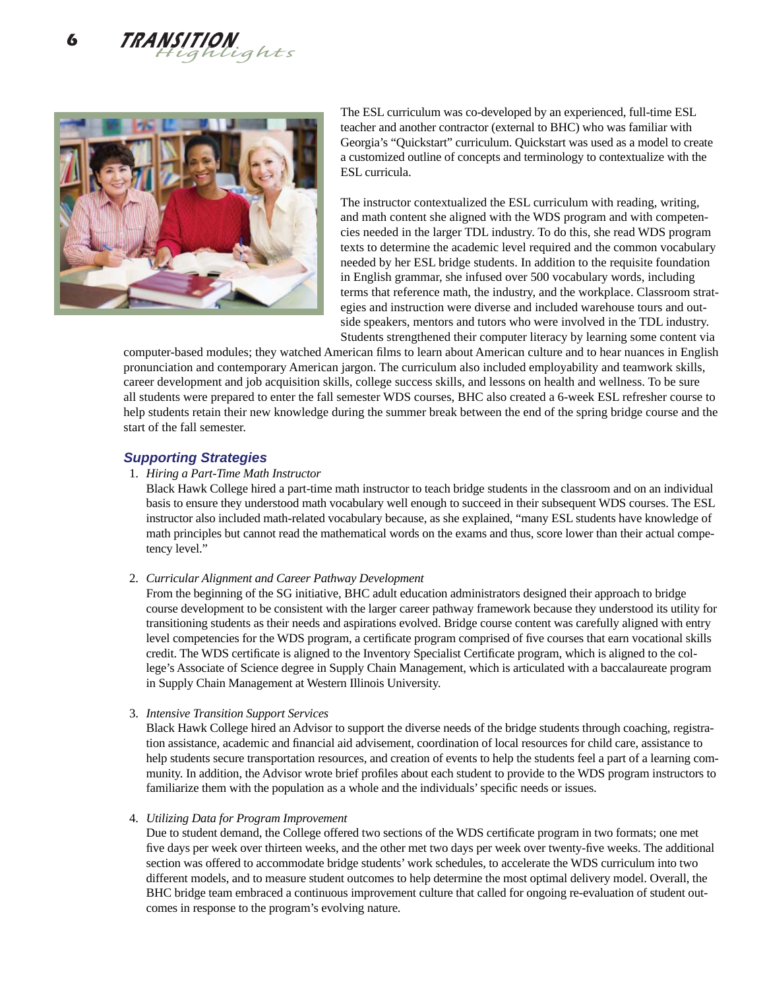



The ESL curriculum was co-developed by an experienced, full-time ESL teacher and another contractor (external to BHC) who was familiar with Georgia's "Quickstart" curriculum. Quickstart was used as a model to create a customized outline of concepts and terminology to contextualize with the ESL curricula.

The instructor contextualized the ESL curriculum with reading, writing, and math content she aligned with the WDS program and with competencies needed in the larger TDL industry. To do this, she read WDS program texts to determine the academic level required and the common vocabulary needed by her ESL bridge students. In addition to the requisite foundation in English grammar, she infused over 500 vocabulary words, including terms that reference math, the industry, and the workplace. Classroom strategies and instruction were diverse and included warehouse tours and outside speakers, mentors and tutors who were involved in the TDL industry. Students strengthened their computer literacy by learning some content via

computer-based modules; they watched American films to learn about American culture and to hear nuances in English pronunciation and contemporary American jargon. The curriculum also included employability and teamwork skills, career development and job acquisition skills, college success skills, and lessons on health and wellness. To be sure all students were prepared to enter the fall semester WDS courses, BHC also created a 6-week ESL refresher course to help students retain their new knowledge during the summer break between the end of the spring bridge course and the start of the fall semester.

### *Supporting Strategies*

#### 1. *Hiring a Part-Time Math Instructor*

 Black Hawk College hired a part-time math instructor to teach bridge students in the classroom and on an individual basis to ensure they understood math vocabulary well enough to succeed in their subsequent WDS courses. The ESL instructor also included math-related vocabulary because, as she explained, "many ESL students have knowledge of math principles but cannot read the mathematical words on the exams and thus, score lower than their actual competency level."

#### 2. *Curricular Alignment and Career Pathway Development*

 From the beginning of the SG initiative, BHC adult education administrators designed their approach to bridge course development to be consistent with the larger career pathway framework because they understood its utility for transitioning students as their needs and aspirations evolved. Bridge course content was carefully aligned with entry level competencies for the WDS program, a certificate program comprised of five courses that earn vocational skills credit. The WDS certificate is aligned to the Inventory Specialist Certificate program, which is aligned to the college's Associate of Science degree in Supply Chain Management, which is articulated with a baccalaureate program in Supply Chain Management at Western Illinois University.

3. *Intensive Transition Support Services*

 Black Hawk College hired an Advisor to support the diverse needs of the bridge students through coaching, registration assistance, academic and financial aid advisement, coordination of local resources for child care, assistance to help students secure transportation resources, and creation of events to help the students feel a part of a learning community. In addition, the Advisor wrote brief profiles about each student to provide to the WDS program instructors to familiarize them with the population as a whole and the individuals' specific needs or issues.

#### 4. *Utilizing Data for Program Improvement*

Due to student demand, the College offered two sections of the WDS certificate program in two formats; one met five days per week over thirteen weeks, and the other met two days per week over twenty-five weeks. The additional section was offered to accommodate bridge students' work schedules, to accelerate the WDS curriculum into two different models, and to measure student outcomes to help determine the most optimal delivery model. Overall, the BHC bridge team embraced a continuous improvement culture that called for ongoing re-evaluation of student outcomes in response to the program's evolving nature.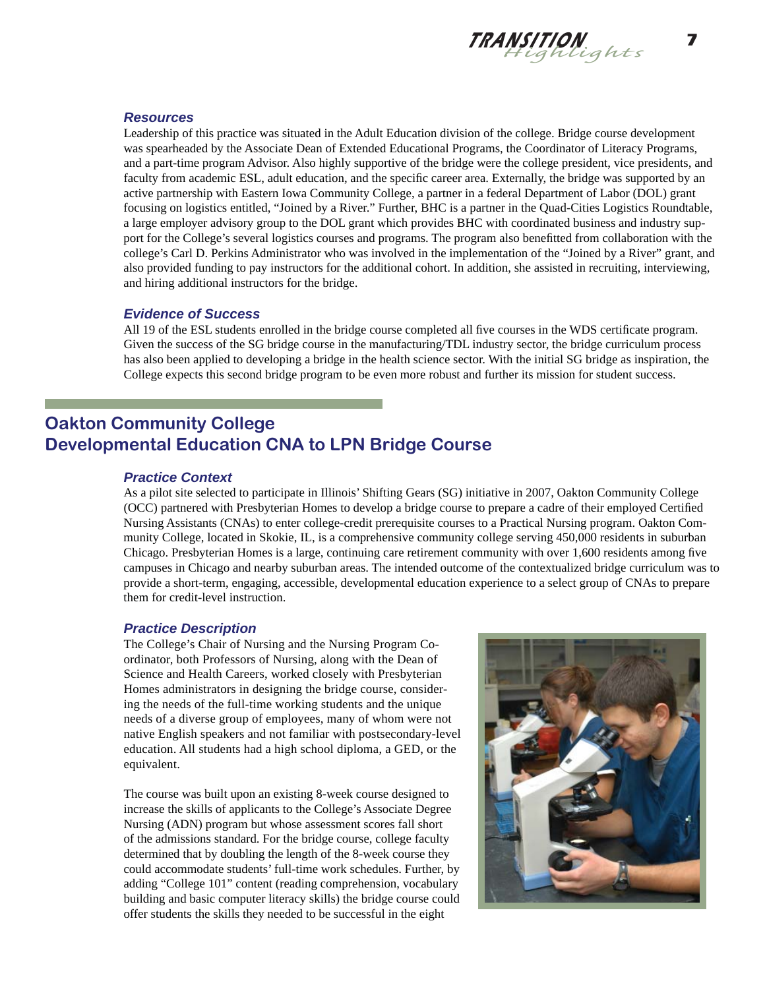

### *Resources*

Leadership of this practice was situated in the Adult Education division of the college. Bridge course development was spearheaded by the Associate Dean of Extended Educational Programs, the Coordinator of Literacy Programs, and a part-time program Advisor. Also highly supportive of the bridge were the college president, vice presidents, and faculty from academic ESL, adult education, and the specific career area. Externally, the bridge was supported by an active partnership with Eastern Iowa Community College, a partner in a federal Department of Labor (DOL) grant focusing on logistics entitled, "Joined by a River." Further, BHC is a partner in the Quad-Cities Logistics Roundtable, a large employer advisory group to the DOL grant which provides BHC with coordinated business and industry support for the College's several logistics courses and programs. The program also benefitted from collaboration with the college's Carl D. Perkins Administrator who was involved in the implementation of the "Joined by a River" grant, and also provided funding to pay instructors for the additional cohort. In addition, she assisted in recruiting, interviewing, and hiring additional instructors for the bridge.

#### *Evidence of Success*

All 19 of the ESL students enrolled in the bridge course completed all five courses in the WDS certificate program. Given the success of the SG bridge course in the manufacturing/TDL industry sector, the bridge curriculum process has also been applied to developing a bridge in the health science sector. With the initial SG bridge as inspiration, the College expects this second bridge program to be even more robust and further its mission for student success.

# **Oakton Community College Developmental Education CNA to LPN Bridge Course**

#### *Practice Context*

As a pilot site selected to participate in Illinois' Shifting Gears (SG) initiative in 2007, Oakton Community College (OCC) partnered with Presbyterian Homes to develop a bridge course to prepare a cadre of their employed Certified Nursing Assistants (CNAs) to enter college-credit prerequisite courses to a Practical Nursing program. Oakton Community College, located in Skokie, IL, is a comprehensive community college serving 450,000 residents in suburban Chicago. Presbyterian Homes is a large, continuing care retirement community with over 1,600 residents among five campuses in Chicago and nearby suburban areas. The intended outcome of the contextualized bridge curriculum was to provide a short-term, engaging, accessible, developmental education experience to a select group of CNAs to prepare them for credit-level instruction.

#### *Practice Description*

The College's Chair of Nursing and the Nursing Program Coordinator, both Professors of Nursing, along with the Dean of Science and Health Careers, worked closely with Presbyterian Homes administrators in designing the bridge course, considering the needs of the full-time working students and the unique needs of a diverse group of employees, many of whom were not native English speakers and not familiar with postsecondary-level education. All students had a high school diploma, a GED, or the equivalent.

The course was built upon an existing 8-week course designed to increase the skills of applicants to the College's Associate Degree Nursing (ADN) program but whose assessment scores fall short of the admissions standard. For the bridge course, college faculty determined that by doubling the length of the 8-week course they could accommodate students' full-time work schedules. Further, by adding "College 101" content (reading comprehension, vocabulary building and basic computer literacy skills) the bridge course could offer students the skills they needed to be successful in the eight

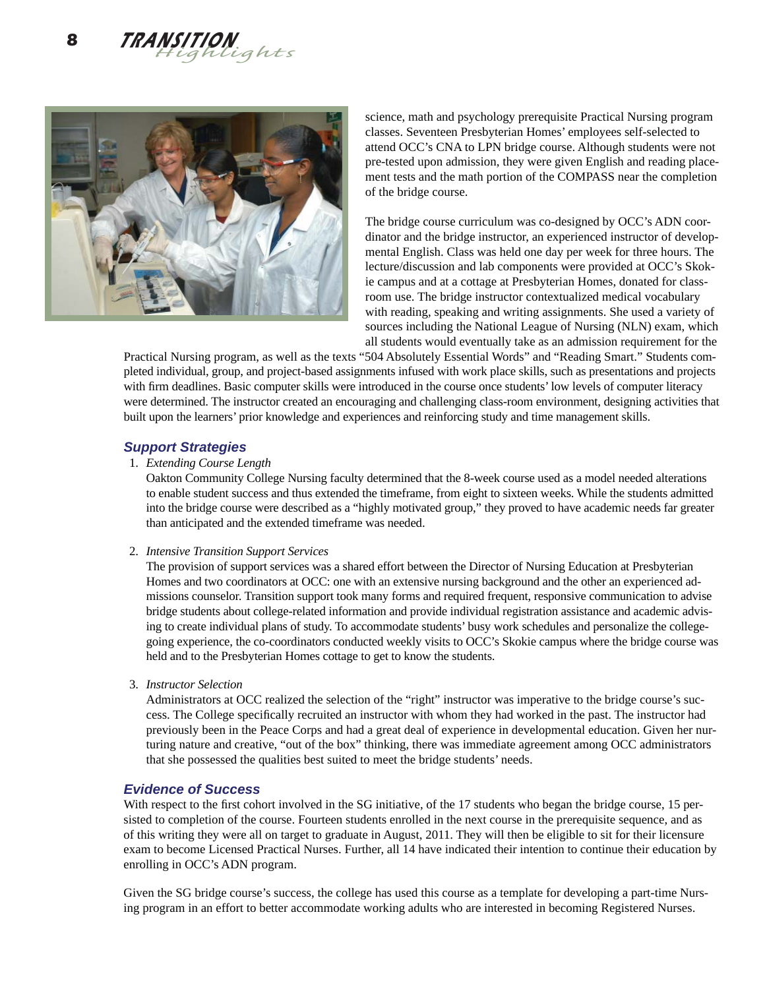



science, math and psychology prerequisite Practical Nursing program classes. Seventeen Presbyterian Homes' employees self-selected to attend OCC's CNA to LPN bridge course. Although students were not pre-tested upon admission, they were given English and reading placement tests and the math portion of the COMPASS near the completion of the bridge course.

The bridge course curriculum was co-designed by OCC's ADN coordinator and the bridge instructor, an experienced instructor of developmental English. Class was held one day per week for three hours. The lecture/discussion and lab components were provided at OCC's Skokie campus and at a cottage at Presbyterian Homes, donated for classroom use. The bridge instructor contextualized medical vocabulary with reading, speaking and writing assignments. She used a variety of sources including the National League of Nursing (NLN) exam, which all students would eventually take as an admission requirement for the

Practical Nursing program, as well as the texts "504 Absolutely Essential Words" and "Reading Smart." Students completed individual, group, and project-based assignments infused with work place skills, such as presentations and projects with firm deadlines. Basic computer skills were introduced in the course once students' low levels of computer literacy were determined. The instructor created an encouraging and challenging class-room environment, designing activities that built upon the learners' prior knowledge and experiences and reinforcing study and time management skills.

### *Support Strategies*

#### 1. *Extending Course Length*

 Oakton Community College Nursing faculty determined that the 8-week course used as a model needed alterations to enable student success and thus extended the timeframe, from eight to sixteen weeks. While the students admitted into the bridge course were described as a "highly motivated group," they proved to have academic needs far greater than anticipated and the extended timeframe was needed.

#### 2. *Intensive Transition Support Services*

 The provision of support services was a shared effort between the Director of Nursing Education at Presbyterian Homes and two coordinators at OCC: one with an extensive nursing background and the other an experienced admissions counselor. Transition support took many forms and required frequent, responsive communication to advise bridge students about college-related information and provide individual registration assistance and academic advising to create individual plans of study. To accommodate students' busy work schedules and personalize the collegegoing experience, the co-coordinators conducted weekly visits to OCC's Skokie campus where the bridge course was held and to the Presbyterian Homes cottage to get to know the students.

3. *Instructor Selection*

 Administrators at OCC realized the selection of the "right" instructor was imperative to the bridge course's success. The College specifically recruited an instructor with whom they had worked in the past. The instructor had previously been in the Peace Corps and had a great deal of experience in developmental education. Given her nurturing nature and creative, "out of the box" thinking, there was immediate agreement among OCC administrators that she possessed the qualities best suited to meet the bridge students' needs.

### *Evidence of Success*

With respect to the first cohort involved in the SG initiative, of the 17 students who began the bridge course, 15 persisted to completion of the course. Fourteen students enrolled in the next course in the prerequisite sequence, and as of this writing they were all on target to graduate in August, 2011. They will then be eligible to sit for their licensure exam to become Licensed Practical Nurses. Further, all 14 have indicated their intention to continue their education by enrolling in OCC's ADN program.

Given the SG bridge course's success, the college has used this course as a template for developing a part-time Nursing program in an effort to better accommodate working adults who are interested in becoming Registered Nurses.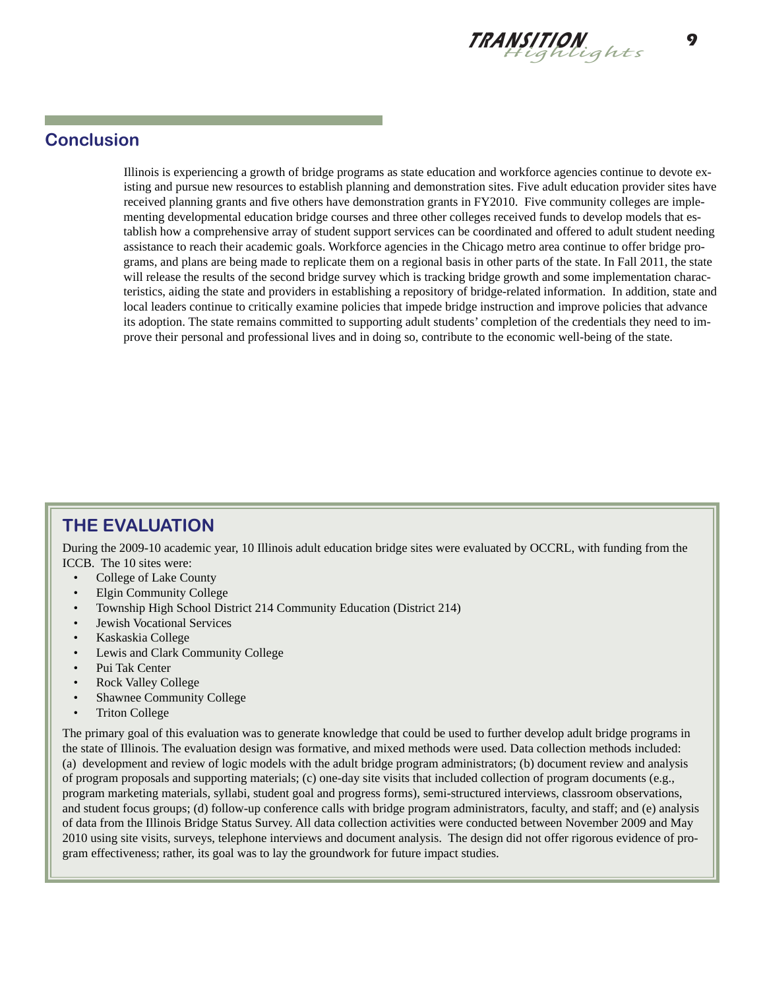

# **Conclusion**

Illinois is experiencing a growth of bridge programs as state education and workforce agencies continue to devote existing and pursue new resources to establish planning and demonstration sites. Five adult education provider sites have received planning grants and five others have demonstration grants in FY2010. Five community colleges are implementing developmental education bridge courses and three other colleges received funds to develop models that establish how a comprehensive array of student support services can be coordinated and offered to adult student needing assistance to reach their academic goals. Workforce agencies in the Chicago metro area continue to offer bridge programs, and plans are being made to replicate them on a regional basis in other parts of the state. In Fall 2011, the state will release the results of the second bridge survey which is tracking bridge growth and some implementation characteristics, aiding the state and providers in establishing a repository of bridge-related information. In addition, state and local leaders continue to critically examine policies that impede bridge instruction and improve policies that advance its adoption. The state remains committed to supporting adult students' completion of the credentials they need to improve their personal and professional lives and in doing so, contribute to the economic well-being of the state.

# **THE EVALUATION**

During the 2009-10 academic year, 10 Illinois adult education bridge sites were evaluated by OCCRL, with funding from the ICCB. The 10 sites were:

- College of Lake County
- Elgin Community College
- Township High School District 214 Community Education (District 214)
- Jewish Vocational Services
- Kaskaskia College
- Lewis and Clark Community College
- Pui Tak Center
- Rock Valley College
- Shawnee Community College
- Triton College

The primary goal of this evaluation was to generate knowledge that could be used to further develop adult bridge programs in the state of Illinois. The evaluation design was formative, and mixed methods were used. Data collection methods included: (a) development and review of logic models with the adult bridge program administrators; (b) document review and analysis of program proposals and supporting materials; (c) one-day site visits that included collection of program documents (e.g., program marketing materials, syllabi, student goal and progress forms), semi-structured interviews, classroom observations, and student focus groups; (d) follow-up conference calls with bridge program administrators, faculty, and staff; and (e) analysis of data from the Illinois Bridge Status Survey. All data collection activities were conducted between November 2009 and May 2010 using site visits, surveys, telephone interviews and document analysis. The design did not offer rigorous evidence of program effectiveness; rather, its goal was to lay the groundwork for future impact studies.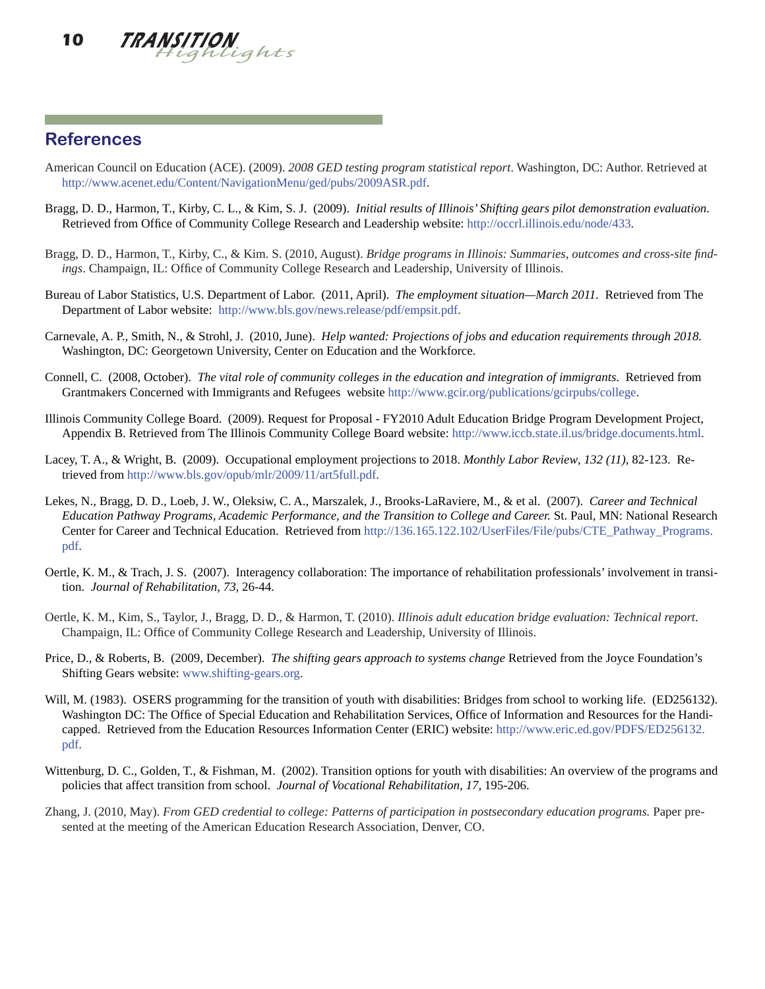

### **References**

- American Council on Education (ACE). (2009). *2008 GED testing program statistical report*. Washington, DC: Author. Retrieved at http://www.acenet.edu/Content/NavigationMenu/ged/pubs/2009ASR.pdf.
- Bragg, D. D., Harmon, T., Kirby, C. L., & Kim, S. J. (2009). *Initial results of Illinois' Shifting gears pilot demonstration evaluation*. Retrieved from Office of Community College Research and Leadership website: http://occrl.illinois.edu/node/433.
- Bragg, D. D., Harmon, T., Kirby, C., & Kim. S. (2010, August). *Bridge programs in Illinois: Summaries, outcomes and cross-site findings*. Champaign, IL: Office of Community College Research and Leadership, University of Illinois.
- Bureau of Labor Statistics, U.S. Department of Labor. (2011, April). *The employment situation—March 2011.* Retrieved from The Department of Labor website: http://www.bls.gov/news.release/pdf/empsit.pdf.
- Carnevale, A. P., Smith, N., & Strohl, J. (2010, June). *Help wanted: Projections of jobs and education requirements through 2018.*  Washington, DC: Georgetown University, Center on Education and the Workforce.
- Connell, C. (2008, October). *The vital role of community colleges in the education and integration of immigrants*. Retrieved from Grantmakers Concerned with Immigrants and Refugees website http://www.gcir.org/publications/gcirpubs/college.
- Illinois Community College Board. (2009). Request for Proposal FY2010 Adult Education Bridge Program Development Project, Appendix B. Retrieved from The Illinois Community College Board website: http://www.iccb.state.il.us/bridge.documents.html.
- Lacey, T. A., & Wright, B. (2009). Occupational employment projections to 2018. *Monthly Labor Review*, *132 (11)*, 82-123. Retrieved from http://www.bls.gov/opub/mlr/2009/11/art5full.pdf.
- Lekes, N., Bragg, D. D., Loeb, J. W., Oleksiw, C. A., Marszalek, J., Brooks-LaRaviere, M., & et al. (2007). *Career and Technical Education Pathway Programs, Academic Performance, and the Transition to College and Career.* St. Paul, MN: National Research Center for Career and Technical Education. Retrieved from http://136.165.122.102/UserFiles/File/pubs/CTE\_Pathway\_Programs. pdf.
- Oertle, K. M., & Trach, J. S. (2007). Interagency collaboration: The importance of rehabilitation professionals' involvement in transition. *Journal of Rehabilitation, 73,* 26-44.
- Oertle, K. M., Kim, S., Taylor, J., Bragg, D. D., & Harmon, T. (2010). *Illinois adult education bridge evaluation: Technical report*. Champaign, IL: Office of Community College Research and Leadership, University of Illinois.
- Price, D., & Roberts, B. (2009, December). *The shifting gears approach to systems change* Retrieved from the Joyce Foundation's Shifting Gears website: www.shifting-gears.org.
- Will, M. (1983). OSERS programming for the transition of youth with disabilities: Bridges from school to working life. (ED256132). Washington DC: The Office of Special Education and Rehabilitation Services, Office of Information and Resources for the Handicapped. Retrieved from the Education Resources Information Center (ERIC) website: http://www.eric.ed.gov/PDFS/ED256132. pdf.
- Wittenburg, D. C., Golden, T., & Fishman, M. (2002). Transition options for youth with disabilities: An overview of the programs and policies that affect transition from school. *Journal of Vocational Rehabilitation, 17,* 195-206.
- Zhang, J. (2010, May). *From GED credential to college: Patterns of participation in postsecondary education programs.* Paper presented at the meeting of the American Education Research Association, Denver, CO.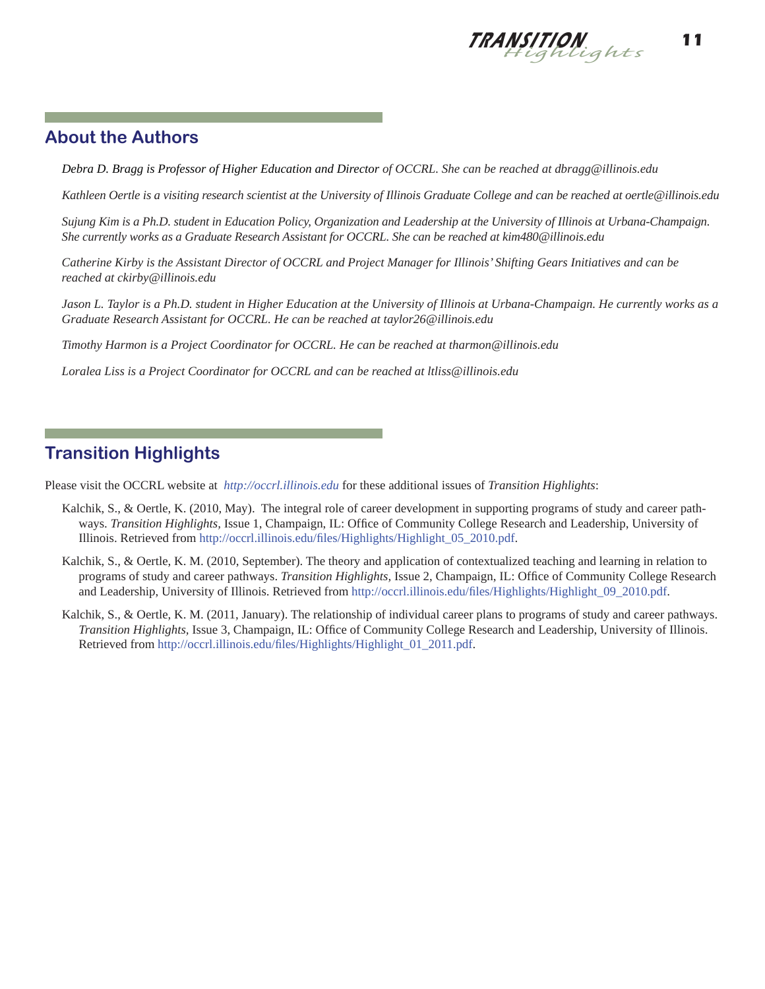

## **About the Authors**

*Debra D. Bragg is Professor of Higher Education and Director of OCCRL. She can be reached at dbragg@illinois.edu* 

*Kathleen Oertle is a visiting research scientist at the University of Illinois Graduate College and can be reached at oertle@illinois.edu* 

*Sujung Kim is a Ph.D. student in Education Policy, Organization and Leadership at the University of Illinois at Urbana-Champaign. She currently works as a Graduate Research Assistant for OCCRL. She can be reached at kim480@illinois.edu* 

*Catherine Kirby is the Assistant Director of OCCRL and Project Manager for Illinois' Shifting Gears Initiatives and can be reached at ckirby@illinois.edu*

*Jason L. Taylor is a Ph.D. student in Higher Education at the University of Illinois at Urbana-Champaign. He currently works as a Graduate Research Assistant for OCCRL. He can be reached at taylor26@illinois.edu* 

*Timothy Harmon is a Project Coordinator for OCCRL. He can be reached at tharmon@illinois.edu* 

*Loralea Liss is a Project Coordinator for OCCRL and can be reached at ltliss@illinois.edu*

# **Transition Highlights**

Please visit the OCCRL website at *http://occrl.illinois.edu* for these additional issues of *Transition Highlights*:

- Kalchik, S., & Oertle, K. (2010, May). The integral role of career development in supporting programs of study and career pathways. *Transition Highlights*, Issue 1, Champaign, IL: Office of Community College Research and Leadership, University of Illinois. Retrieved from http://occrl.illinois.edu/fi les/Highlights/Highlight\_05\_2010.pdf.
- Kalchik, S., & Oertle, K. M. (2010, September). The theory and application of contextualized teaching and learning in relation to programs of study and career pathways. *Transition Highlights*, Issue 2, Champaign, IL: Office of Community College Research and Leadership, University of Illinois. Retrieved from http://occrl.illinois.edu/fi les/Highlights/Highlight\_09\_2010.pdf.
- Kalchik, S., & Oertle, K. M. (2011, January). The relationship of individual career plans to programs of study and career pathways. *Transition Highlights, Issue 3, Champaign, IL: Office of Community College Research and Leadership, University of Illinois.* Retrieved from http://occrl.illinois.edu/files/Highlights/Highlight\_01\_2011.pdf.